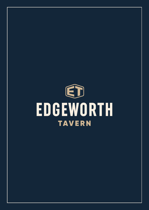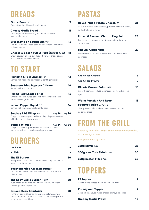### **BREADS**

| Garlic Bread $V$<br>Toasted panini with confit garlic butter                                                                                | 0  |
|---------------------------------------------------------------------------------------------------------------------------------------------|----|
| <b>Cheesy Garlic Bread v</b><br>Toasted panini with confit garlic butter & melted<br>mozzarella cheese                                      |    |
| <b>Bruschetta on Sourdough VEA</b><br>Tomato, red onion, fresh basil leaves, topped with fetta &<br>balsamic glaze                          | k  |
| <b>Cheese &amp; Bacon Pull-A-Part (serves 4-6)</b><br>Crispy sourdough cob loaf, topped-up with crispy bacon<br>and house-made cheese blend | 18 |

### **TO START**

| Pumpkin & Feta Arancini v<br>Served with roquette, parmesan & confit garlic aioli                                                                    | 12       |
|------------------------------------------------------------------------------------------------------------------------------------------------------|----------|
| Southern Fried Popcorn Chicken<br>Served with sriracha aioli                                                                                         | 14       |
| <b>Pulled Pork Loaded Fries</b><br>5hr slow-cooked pulled pork with house-made cheese<br>blend & confit garlic aioli                                 | 16       |
| <b>Lemon Pepper Squid GF</b><br>Served with lemon & sweet paprika aioli                                                                              | 14       |
| <b>Smokey BBQ Wings GF</b><br>$\frac{1}{2}$ kg 14 1kg 24<br>Crispy chicken wings glazed in smokey bbg sauce served<br>with blue cheese dipping sauce |          |
| <b>Buffalo Wings</b> GF<br>$\frac{1}{2}$ kg 14<br>Crispy chicken wings coated in house-made buffalo<br>sauce served with blue cheese dipping sauce   | $1kq$ 24 |

### **BURGERS**

on a toasted panini bun

| Double Up                                                                                                                                        | 6  |
|--------------------------------------------------------------------------------------------------------------------------------------------------|----|
| <b>GF Bun</b>                                                                                                                                    | 4  |
| <b>The ET Burger</b><br>Beef pattie, bacon, swiss cheese, pickle, crisp oak lettuce,<br>tomato and burger sauce                                  | 20 |
| <b>Southern Fried Chicken Burger</b><br>KFC breast, bacon, american cheese, crisp oak lettuce,<br>sriracha aioli                                 | 40 |
| The Edgy Vegie Burger V, VEA<br>Buds vegan patty, crisp oak lettuce, tomato, american<br>cheese, pickle & veganaise                              | 40 |
| <b>Brisket Steak Sandwich</b><br>16hr slow-cooked beef brisket, crisp oak lettuce, swiss<br>cheese, tomato, caramelised onion & smokey bbq sauce | 10 |

### **PASTAS**

| House-Made Potato Gnocchi v                                          | 26 |
|----------------------------------------------------------------------|----|
| Wild mushroom, baby spinach, parmesan cheese, onion,                 |    |
| garlic, truffle oil & thyme                                          |    |
|                                                                      |    |
|                                                                      |    |
| <b>Prawn &amp; Smoked Chorizo Linguini</b>                           |    |
| Garlic, cherry tomato, onion & spinach in white wine<br>butter squce | 78 |

Sauteed bacon & shallots in a garlic cream sauce with parmesan

### **SALADS**

| <b>Add Grilled Chicken</b>                             | 5  |
|--------------------------------------------------------|----|
| <b>Add Grilled Prawns</b>                              |    |
| <b>Classic Caesar Salad</b> GFA                        | 18 |
| Crispy bacon, cos lettuce, parmesan, croutons & boiled |    |
| egg                                                    |    |
|                                                        |    |

| <b>Warm Pumpkin And Roast</b>                     | 18 |
|---------------------------------------------------|----|
| <b>Beetroot Salad</b> V, VEA, GF                  |    |
| Cherry tomato, danish feta, mixed leaves, quinoa, |    |
| balsamic glaze                                    |    |

### **FROM THE GRILL**

*Choice of two sides - chips, salad, seasonal vegetables, mash, chat potatoes*

*Plus your choice of sauce*

| 250g Rump GFA                    | 28 |
|----------------------------------|----|
| <b>300g New York Sirloin GFA</b> | 30 |
| 250g Scotch Fillet GFA           | 38 |

### **TOPPERS**

| <b>ET Topper</b>                                                           |  |
|----------------------------------------------------------------------------|--|
| House-made cheese blend, bacon & shallots                                  |  |
| <b>Parmigiana Topper</b><br>Double ham, house-made cheese blend, nap sauce |  |
| <b>Creamy Garlic Prawn</b>                                                 |  |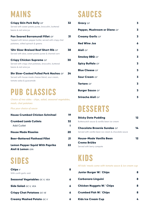## **MAINS**

| <b>Crispy Skin Pork Belly GF</b><br>Served with sweet potato puree, broccolini, buttered<br>beans & red wine jus                        |    |
|-----------------------------------------------------------------------------------------------------------------------------------------|----|
| <b>Pan Seared Barramundi Fillet</b> GF<br>Topped with lemon pepper butter, served with crispy chat<br>potatoes, wilted spinach & greens |    |
| 12hr Slow-Braised Beef Short Rib $\scriptstyle{GF}$<br>Served with slaw, sweet potato puree & charred corn                              | 38 |
| <b>Crispy Chicken Supreme GF</b><br>Served with crispy chat potatoes, broccolini, buttered<br>beans & red wine jus                      | 30 |
| <b>5hr Slow-Cooked Pulled Pork Nachos</b> GF<br>Served with house-made cheese blend, sour cream,<br>tomato salsa & guacamole            |    |

### **PUB CLASSICS**

*Choice of two sides - chips, salad, seasonal vegetables, mash, chat potatoes*

*Plus your choice of sauce*

| <b>House Crumbed Chicken Schnitzel</b> | 19 |
|----------------------------------------|----|
| <b>Crumbed Lamb Cutlets</b>            | 32 |
| <b>Add Cutlet</b>                      | 8  |
| <b>House Made Rissoles</b>             | 20 |
| <b>Beer-Battered Flathead Fillet</b>   | 21 |
| <b>Lemon Pepper Squid With Paprika</b> | 22 |
| Aioli & Lemon GFA                      |    |

### **SIDES**

| Chips $V$                             | 8 |
|---------------------------------------|---|
| With confit garlic aioli              |   |
| <b>Seasonal Vegetables</b> GF, V, VEA | 6 |
| <b>Side Salad</b> GF, V, VEA          | 6 |
| <b>Crispy Chat Potatoes</b> GF, VE    | 6 |
| <b>Creamy Mashed Potato GF, V</b>     |   |

### **SAUCES**

| <b>Gravy</b> GF              | 3 |
|------------------------------|---|
| Pepper, Mushroom or Diane GF | 3 |
| <b>Creamy Garlic</b> GF      | 3 |
| <b>Red Wine Jus</b>          | 6 |
| <b>Aioli</b> GF              | 3 |
| <b>Smokey BBQ</b> GF         | 3 |
| <b>Spicy Buffalo GF</b>      | 3 |
| <b>Blue Cheese GF</b>        | 3 |
| <b>Sour Cream GF</b>         | 3 |
| <b>Tartare</b> GF            | 3 |
| <b>Burger Sauce</b> GF       | 3 |
| <b>Sriracha Aioli</b> GF     | 3 |

## **DESSERTS**

| <b>Sticky Date Pudding</b>                           |    |
|------------------------------------------------------|----|
| Butterscotch squce & vanilla bean ice cream          |    |
| <b>Chocolate Brownie Sundae</b> GF                   | 14 |
| Served with vanilla bean ice cream & chocolate sauce |    |
| House-Made Vanilla Bean                              | 12 |
| <b>Creme Brûlée</b>                                  |    |
| Served with berry compote                            |    |

**KIDS** 

*All kids' meals come with tomato sauce & ice cream cup*

| Junior Burger W/ Chips          |    |
|---------------------------------|----|
| <b>Carbonara Linguini</b>       | 8  |
| <b>Chicken Nuggets W/ Chips</b> | 8  |
| <b>Crumbed Fish W/ Chips</b>    | 8  |
| <b>Kids Ice Cream Cup</b>       | L. |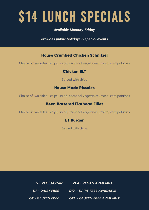# **\$14 LUNCH SPECIALS**

#### *Available Monday-Friday*

*excludes public holidays & special events* 

#### House Crumbed Chicken Schnitzel

Choice of two sides - chips, salad, seasonal vegetables, mash, chat potatoes

#### Chicken BLT

Served with chips

#### House Made Rissoles

Choice of two sides - chips, salad, seasonal vegetables, mash, chat potatoes

#### Beer-Battered Flathead Fillet

Choice of two sides - chips, salad, seasonal vegetables, mash, chat potatoes

#### ET Burger

Served with chips

*V - VEGETARIAN VEA - VEGAN AVAILABLE DF - DAIRY FREE DFA - DAIRY FREE AVAILABLE GF - GLUTEN FREE GFA - GLUTEN FREE AVAILABLE*